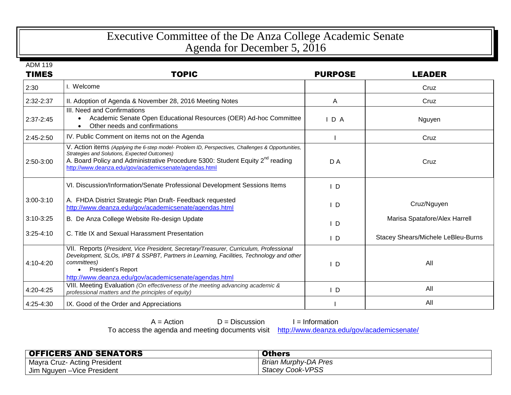## Executive Committee of the De Anza College Academic Senate Agenda for December 5, 2016

ADM 119

| <b>TIMES</b>  | <b>TOPIC</b>                                                                                                                                                                                                                                                                                            | <b>PURPOSE</b> | <b>LEADER</b>                      |
|---------------|---------------------------------------------------------------------------------------------------------------------------------------------------------------------------------------------------------------------------------------------------------------------------------------------------------|----------------|------------------------------------|
| 2:30          | I. Welcome                                                                                                                                                                                                                                                                                              |                | Cruz                               |
| 2:32-2:37     | II. Adoption of Agenda & November 28, 2016 Meeting Notes                                                                                                                                                                                                                                                | A              | Cruz                               |
| $2:37-2:45$   | III. Need and Confirmations<br>Academic Senate Open Educational Resources (OER) Ad-hoc Committee<br>$\bullet$<br>Other needs and confirmations                                                                                                                                                          | IDA            | Nguyen                             |
| 2:45-2:50     | IV. Public Comment on items not on the Agenda                                                                                                                                                                                                                                                           |                | Cruz                               |
| 2:50-3:00     | V. Action items (Applying the 6-step model- Problem ID, Perspectives, Challenges & Opportunities,<br>Strategies and Solutions, Expected Outcomes)<br>A. Board Policy and Administrative Procedure 5300: Student Equity 2 <sup>nd</sup> reading<br>http://www.deanza.edu/gov/academicsenate/agendas.html | D A            | Cruz                               |
|               | VI. Discussion/Information/Senate Professional Development Sessions Items                                                                                                                                                                                                                               | ID             |                                    |
| $3:00 - 3:10$ | A. FHDA District Strategic Plan Draft- Feedback requested<br>http://www.deanza.edu/gov/academicsenate/agendas.html                                                                                                                                                                                      | I D            | Cruz/Nguyen                        |
| $3:10-3:25$   | B. De Anza College Website Re-design Update                                                                                                                                                                                                                                                             | I D            | Marisa Spatafore/Alex Harrell      |
| $3:25 - 4:10$ | C. Title IX and Sexual Harassment Presentation                                                                                                                                                                                                                                                          | I D            | Stacey Shears/Michele LeBleu-Burns |
| 4:10-4:20     | VII. Reports (President, Vice President, Secretary/Treasurer, Curriculum, Professional<br>Development, SLOs, IPBT & SSPBT, Partners in Learning, Facilities, Technology and other<br>committees)<br><b>President's Report</b><br>http://www.deanza.edu/gov/academicsenate/agendas.html                  | ID.            | All                                |
| 4:20-4:25     | VIII. Meeting Evaluation (On effectiveness of the meeting advancing academic &<br>professional matters and the principles of equity)                                                                                                                                                                    | ID.            | All                                |
| 4:25-4:30     | IX. Good of the Order and Appreciations                                                                                                                                                                                                                                                                 |                | All                                |

|                                                                       | $A = Action$ | $D =$ Discussion | $I = Information$ |
|-----------------------------------------------------------------------|--------------|------------------|-------------------|
| To access the agenda and meeting documents visit http://www.deanza.et |              |                  |                   |

Profisit <http://www.deanza.edu/gov/academicsenate/>

| <b>OFFICERS AND SENATORS</b>        | <b>Others</b>               |
|-------------------------------------|-----------------------------|
| <b>Mayra Cruz- Acting President</b> | <b>Brian Murphy-DA Pres</b> |
| Jim Nguyen - Vice President         | <b>Stacey Cook-VPSS</b>     |